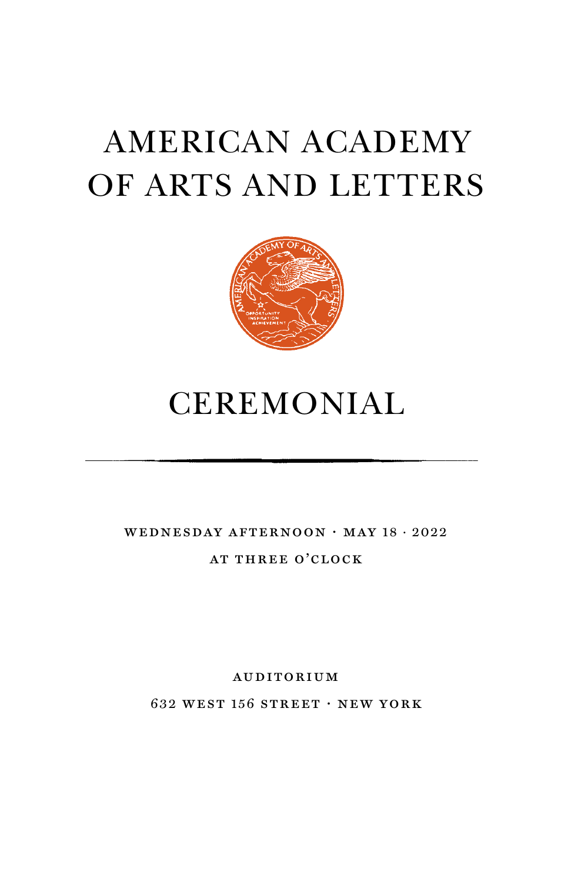# American Academy OF ARTS AND LETTERS



# CEREMONIAL

### wednesday afternoon · may 18 · 2022 at three o'clock

**AUDITORIUM** 

632 west 156 street · new york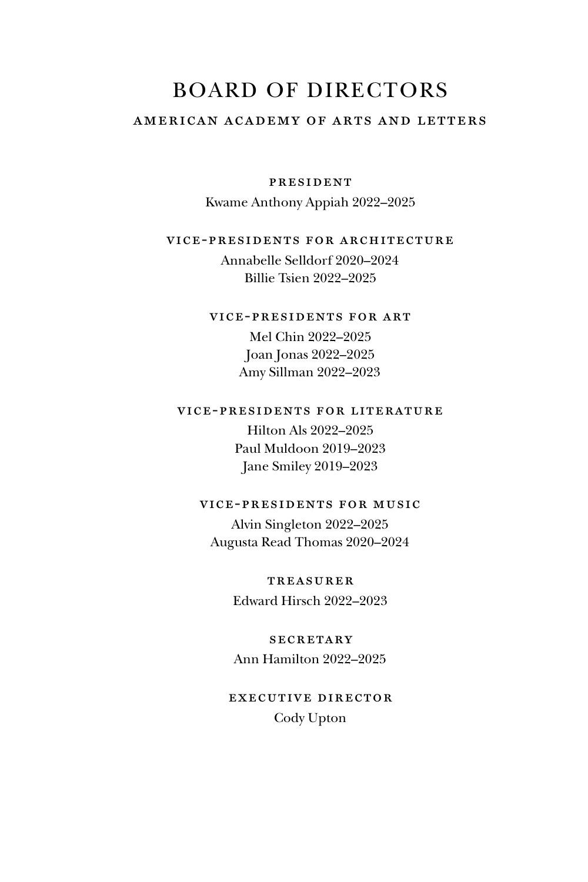## Board of Directors

#### american academy of arts and letters

#### president

Kwame Anthony Appiah 2022–2025

#### vice-presidents for architecture

Annabelle Selldorf 2020–2024 Billie Tsien 2022–2025

#### vice-presidents for art

Mel Chin 2022–2025 Joan Jonas 2022–2025 Amy Sillman 2022–2023

#### vice-presidents for literature

Hilton Als 2022–2025 Paul Muldoon 2019–2023 Jane Smiley 2019–2023

#### vice-presidents for music

Alvin Singleton 2022–2025 Augusta Read Thomas 2020–2024

> **TREASURER** Edward Hirsch 2022–2023

#### **SECRETARY** Ann Hamilton 2022–2025

executive director Cody Upton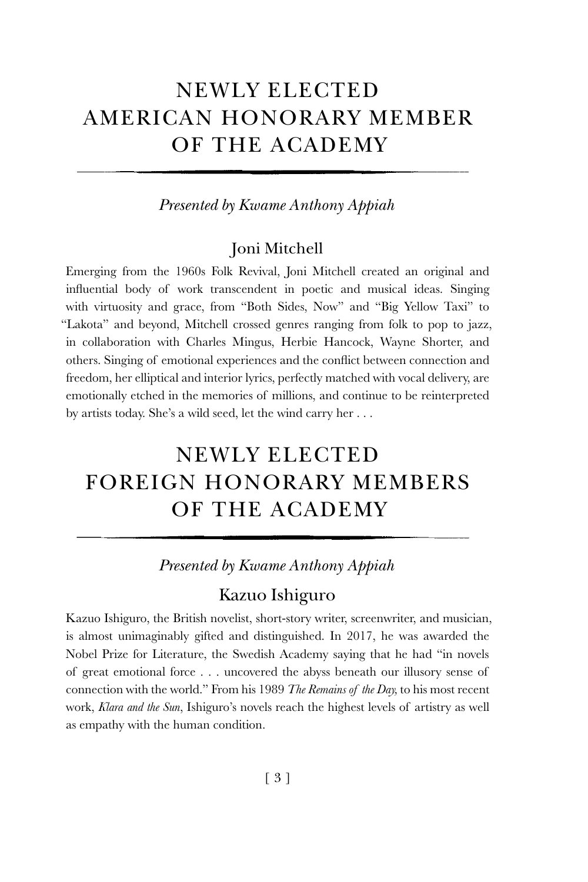# NEWLY ELECTED AMERICAN HONORARY MEMBER OF THE ACADEMY

#### *Presented by Kwame Anthony Appiah*

#### Joni Mitchell

Emerging from the 1960s Folk Revival, Joni Mitchell created an original and influential body of work transcendent in poetic and musical ideas. Singing with virtuosity and grace, from "Both Sides, Now" and "Big Yellow Taxi" to "Lakota" and beyond, Mitchell crossed genres ranging from folk to pop to jazz, in collaboration with Charles Mingus, Herbie Hancock, Wayne Shorter, and others. Singing of emotional experiences and the conflict between connection and freedom, her elliptical and interior lyrics, perfectly matched with vocal delivery, are emotionally etched in the memories of millions, and continue to be reinterpreted by artists today. She's a wild seed, let the wind carry her . . .

# NEWLY ELECTED FOREIGN HONORARY MEMBERS OF THE ACADEMY

#### *Presented by Kwame Anthony Appiah*

#### Kazuo Ishiguro

Kazuo Ishiguro, the British novelist, short-story writer, screenwriter, and musician, is almost unimaginably gifted and distinguished. In 2017, he was awarded the Nobel Prize for Literature, the Swedish Academy saying that he had "in novels of great emotional force . . . uncovered the abyss beneath our illusory sense of connection with the world." From his 1989 *The Remains of the Day,* to his most recent work, *Klara and the Sun*, Ishiguro's novels reach the highest levels of artistry as well as empathy with the human condition.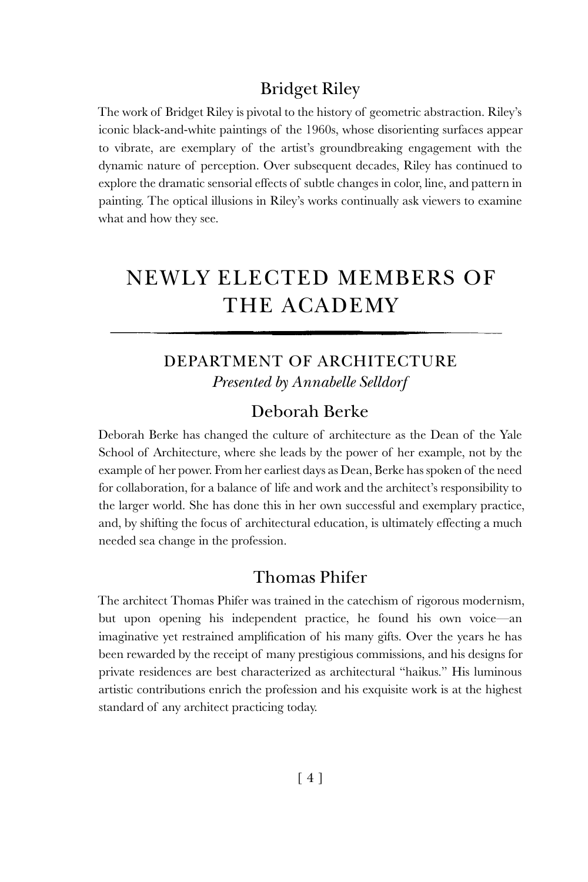#### Bridget Riley

The work of Bridget Riley is pivotal to the history of geometric abstraction. Riley's iconic black-and-white paintings of the 1960s, whose disorienting surfaces appear to vibrate, are exemplary of the artist's groundbreaking engagement with the dynamic nature of perception. Over subsequent decades, Riley has continued to explore the dramatic sensorial effects of subtle changes in color, line, and pattern in painting. The optical illusions in Riley's works continually ask viewers to examine what and how they see.

# NEWLY ELECTED MEMBERS OF THE ACADEMY

### DEPARTMENT OF ARCHITECTURE *Presented by Annabelle Selldorf*

### Deborah Berke

Deborah Berke has changed the culture of architecture as the Dean of the Yale School of Architecture, where she leads by the power of her example, not by the example of her power. From her earliest days as Dean, Berke has spoken of the need for collaboration, for a balance of life and work and the architect's responsibility to the larger world. She has done this in her own successful and exemplary practice, and, by shifting the focus of architectural education, is ultimately effecting a much needed sea change in the profession.

#### Thomas Phifer

The architect Thomas Phifer was trained in the catechism of rigorous modernism, but upon opening his independent practice, he found his own voice—an imaginative yet restrained amplification of his many gifts. Over the years he has been rewarded by the receipt of many prestigious commissions, and his designs for private residences are best characterized as architectural "haikus." His luminous artistic contributions enrich the profession and his exquisite work is at the highest standard of any architect practicing today.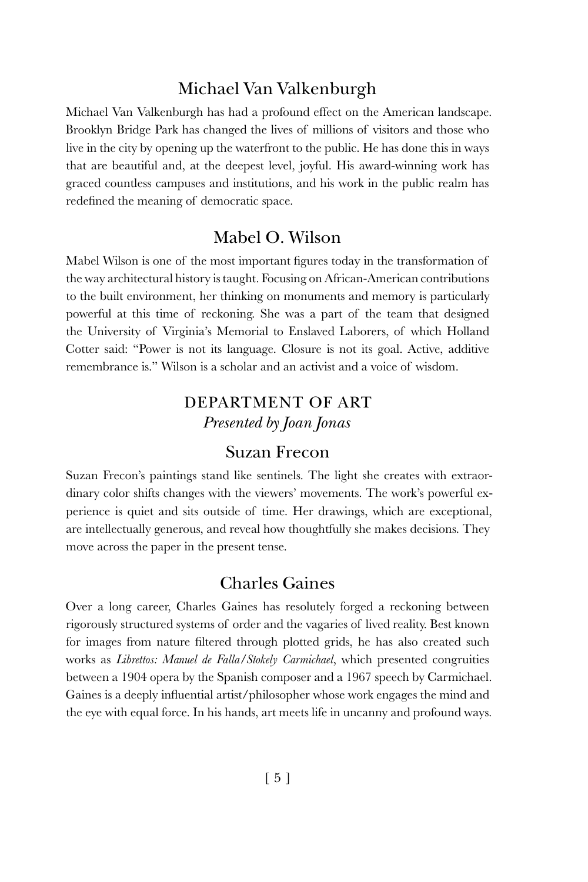### Michael Van Valkenburgh

Michael Van Valkenburgh has had a profound effect on the American landscape. Brooklyn Bridge Park has changed the lives of millions of visitors and those who live in the city by opening up the waterfront to the public. He has done this in ways that are beautiful and, at the deepest level, joyful. His award-winning work has graced countless campuses and institutions, and his work in the public realm has redefined the meaning of democratic space.

#### Mabel O. Wilson

Mabel Wilson is one of the most important figures today in the transformation of the way architectural history is taught. Focusing on African-American contributions to the built environment, her thinking on monuments and memory is particularly powerful at this time of reckoning. She was a part of the team that designed the University of Virginia's Memorial to Enslaved Laborers, of which Holland Cotter said: "Power is not its language. Closure is not its goal. Active, additive remembrance is." Wilson is a scholar and an activist and a voice of wisdom.

### DEPARTMENT OF ART *Presented by Joan Jonas*

#### Suzan Frecon

Suzan Frecon's paintings stand like sentinels. The light she creates with extraordinary color shifts changes with the viewers' movements. The work's powerful experience is quiet and sits outside of time. Her drawings, which are exceptional, are intellectually generous, and reveal how thoughtfully she makes decisions. They move across the paper in the present tense.

#### Charles Gaines

Over a long career, Charles Gaines has resolutely forged a reckoning between rigorously structured systems of order and the vagaries of lived reality. Best known for images from nature filtered through plotted grids, he has also created such works as *Librettos: Manuel de Falla/Stokely Carmichael*, which presented congruities between a 1904 opera by the Spanish composer and a 1967 speech by Carmichael. Gaines is a deeply influential artist/philosopher whose work engages the mind and the eye with equal force. In his hands, art meets life in uncanny and profound ways.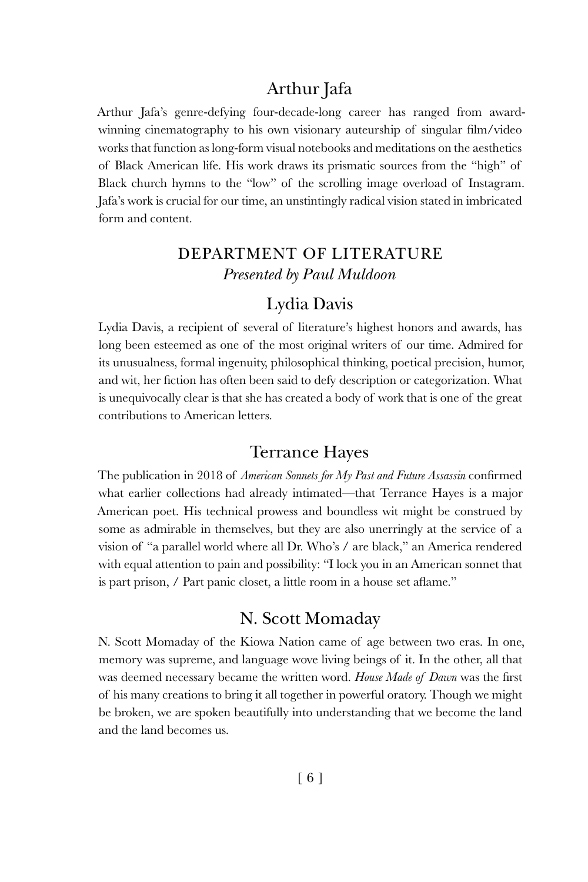#### Arthur Jafa

Arthur Jafa's genre-defying four-decade-long career has ranged from awardwinning cinematography to his own visionary auteurship of singular film/video works that function as long-form visual notebooks and meditations on the aesthetics of Black American life. His work draws its prismatic sources from the "high" of Black church hymns to the "low" of the scrolling image overload of Instagram. Jafa's work is crucial for our time, an unstintingly radical vision stated in imbricated form and content.

### DEPARTMENT OF LITERATURE *Presented by Paul Muldoon*

### Lydia Davis

Lydia Davis, a recipient of several of literature's highest honors and awards, has long been esteemed as one of the most original writers of our time. Admired for its unusualness, formal ingenuity, philosophical thinking, poetical precision, humor, and wit, her fiction has often been said to defy description or categorization. What is unequivocally clear is that she has created a body of work that is one of the great contributions to American letters.

#### Terrance Hayes

The publication in 2018 of *American Sonnets for My Past and Future Assassin* confirmed what earlier collections had already intimated—that Terrance Hayes is a major American poet. His technical prowess and boundless wit might be construed by some as admirable in themselves, but they are also unerringly at the service of a vision of "a parallel world where all Dr. Who's / are black," an America rendered with equal attention to pain and possibility: "I lock you in an American sonnet that is part prison, / Part panic closet, a little room in a house set aflame."

#### N. Scott Momaday

N. Scott Momaday of the Kiowa Nation came of age between two eras. In one, memory was supreme, and language wove living beings of it. In the other, all that was deemed necessary became the written word. *House Made of Dawn* was the first of his many creations to bring it all together in powerful oratory. Though we might be broken, we are spoken beautifully into understanding that we become the land and the land becomes us.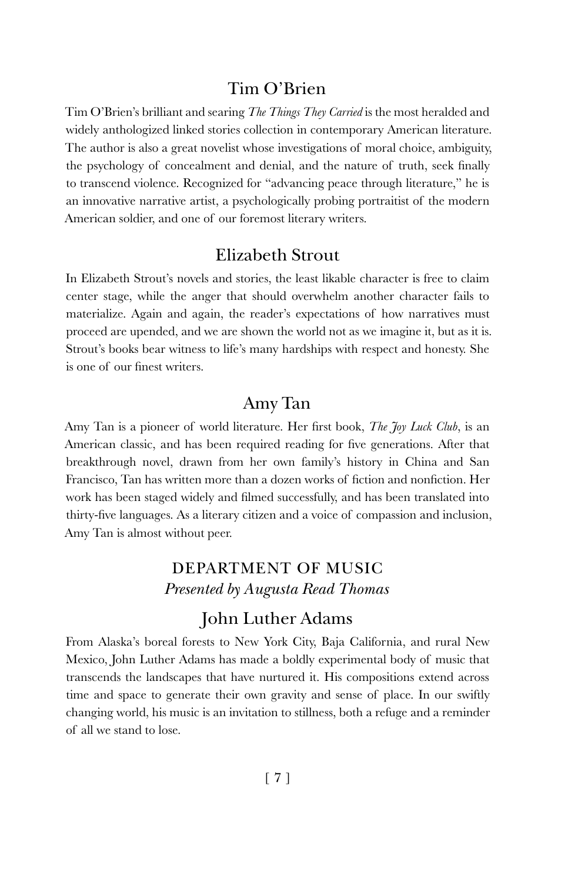#### Tim O'Brien

Tim O'Brien's brilliant and searing *The Things They Carried* is the most heralded and widely anthologized linked stories collection in contemporary American literature. The author is also a great novelist whose investigations of moral choice, ambiguity, the psychology of concealment and denial, and the nature of truth, seek finally to transcend violence. Recognized for "advancing peace through literature," he is an innovative narrative artist, a psychologically probing portraitist of the modern American soldier, and one of our foremost literary writers.

#### Elizabeth Strout

In Elizabeth Strout's novels and stories, the least likable character is free to claim center stage, while the anger that should overwhelm another character fails to materialize. Again and again, the reader's expectations of how narratives must proceed are upended, and we are shown the world not as we imagine it, but as it is. Strout's books bear witness to life's many hardships with respect and honesty. She is one of our finest writers.

#### Amy Tan

Amy Tan is a pioneer of world literature. Her first book, *The Joy Luck Club*, is an American classic, and has been required reading for five generations. After that breakthrough novel, drawn from her own family's history in China and San Francisco, Tan has written more than a dozen works of fiction and nonfiction. Her work has been staged widely and filmed successfully, and has been translated into thirty-five languages. As a literary citizen and a voice of compassion and inclusion, Amy Tan is almost without peer.

### DEPARTMENT OF MUSIC *Presented by Augusta Read Thomas*

### John Luther Adams

From Alaska's boreal forests to New York City, Baja California, and rural New Mexico, John Luther Adams has made a boldly experimental body of music that transcends the landscapes that have nurtured it. His compositions extend across time and space to generate their own gravity and sense of place. In our swiftly changing world, his music is an invitation to stillness, both a refuge and a reminder of all we stand to lose.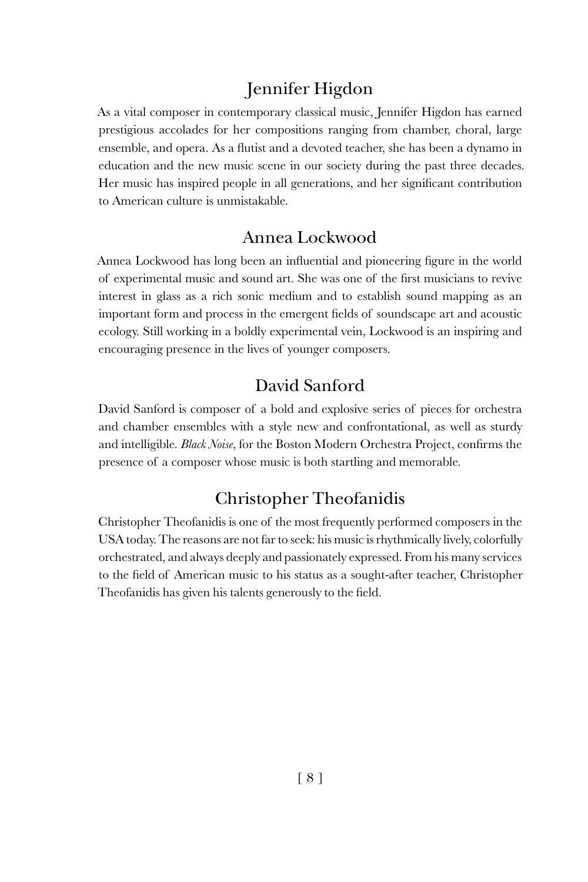### Jennifer Higdon

As a vital composer in contemporary classical music, Jennifer Higdon has earned prestigious accolades for her compositions ranging from chamber, choral, large ensemble, and opera. As a flutist and a devoted teacher, she has been a dynamo in education and the new music scene in our society during the past three decades. Her music has inspired people in all generations, and her significant contribution to American culture is unmistakable.

### Annea Lockwood

Annea Lockwood has long been an influential and pioneering figure in the world of experimental music and sound art. She was one of the first musicians to revive interest in glass as a rich sonic medium and to establish sound mapping as an important form and process in the emergent fields of soundscape art and acoustic ecology. Still working in a boldly experimental vein, Lockwood is an inspiring and encouraging presence in the lives of younger composers.

### David Sanford

David Sanford is composer of a bold and explosive series of pieces for orchestra and chamber ensembles with a style new and confrontational, as well as sturdy and intelligible. *Black Noise*, for the Boston Modern Orchestra Project, confirms the presence of a composer whose music is both startling and memorable.

### Christopher Theofanidis

Christopher Theofanidis is one of the most frequently performed composers in the USA today. The reasons are not far to seek: his music is rhythmically lively, colorfully orchestrated, and always deeply and passionately expressed. From his many services to the field of American music to his status as a sought-after teacher, Christopher Theofanidis has given his talents generously to the field.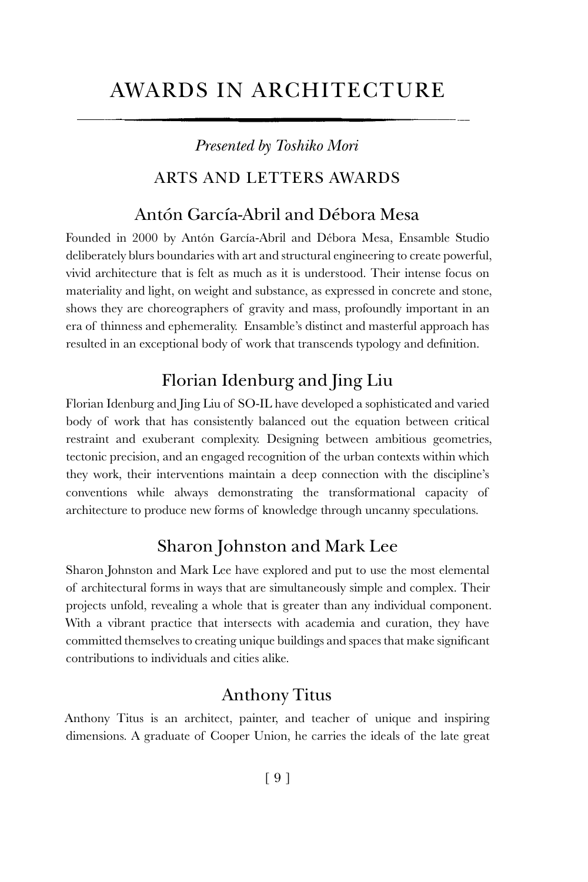## Awards in architecture

#### *Presented by Toshiko Mori*

#### ARTS AND LETTERS AWARDS

#### Antón García-Abril and Débora Mesa

Founded in 2000 by Antón García-Abril and Débora Mesa, Ensamble Studio deliberately blurs boundaries with art and structural engineering to create powerful, vivid architecture that is felt as much as it is understood. Their intense focus on materiality and light, on weight and substance, as expressed in concrete and stone, shows they are choreographers of gravity and mass, profoundly important in an era of thinness and ephemerality. Ensamble's distinct and masterful approach has resulted in an exceptional body of work that transcends typology and definition.

#### Florian Idenburg and Jing Liu

Florian Idenburg and Jing Liu of SO-IL have developed a sophisticated and varied body of work that has consistently balanced out the equation between critical restraint and exuberant complexity. Designing between ambitious geometries, tectonic precision, and an engaged recognition of the urban contexts within which they work, their interventions maintain a deep connection with the discipline's conventions while always demonstrating the transformational capacity of architecture to produce new forms of knowledge through uncanny speculations.

### Sharon Johnston and Mark Lee

Sharon Johnston and Mark Lee have explored and put to use the most elemental of architectural forms in ways that are simultaneously simple and complex. Their projects unfold, revealing a whole that is greater than any individual component. With a vibrant practice that intersects with academia and curation, they have committed themselves to creating unique buildings and spaces that make significant contributions to individuals and cities alike.

#### Anthony Titus

Anthony Titus is an architect, painter, and teacher of unique and inspiring dimensions. A graduate of Cooper Union, he carries the ideals of the late great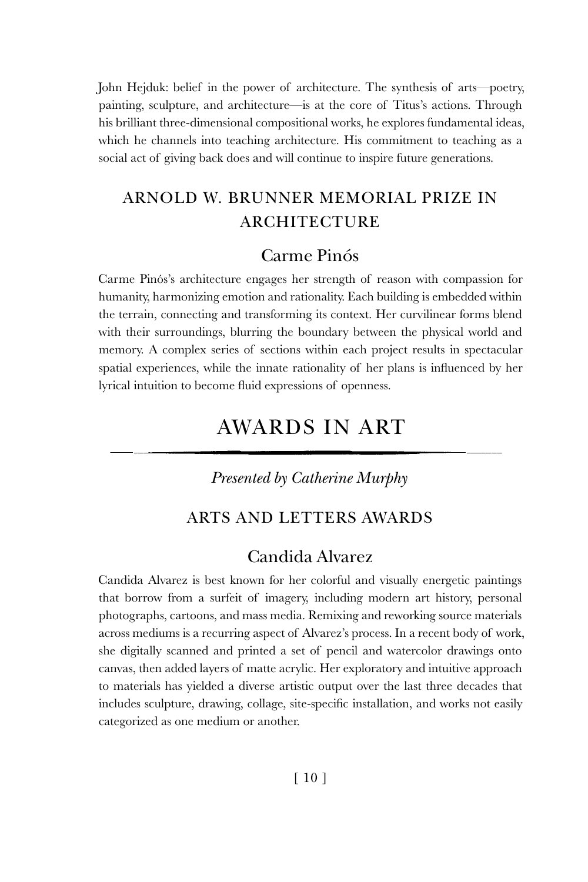John Hejduk: belief in the power of architecture. The synthesis of arts—poetry, painting, sculpture, and architecture—is at the core of Titus's actions. Through his brilliant three-dimensional compositional works, he explores fundamental ideas, which he channels into teaching architecture. His commitment to teaching as a social act of giving back does and will continue to inspire future generations.

### ARNOLD W. BRUNNER MEMORIAL PRIZE IN ARCHITECTURE

#### Carme Pinós

Carme Pinós's architecture engages her strength of reason with compassion for humanity, harmonizing emotion and rationality. Each building is embedded within the terrain, connecting and transforming its context. Her curvilinear forms blend with their surroundings, blurring the boundary between the physical world and memory. A complex series of sections within each project results in spectacular spatial experiences, while the innate rationality of her plans is influenced by her lyrical intuition to become fluid expressions of openness.

# Awards in art

*Presented by Catherine Murphy*

#### ARTS AND LETTERS AWARDS

#### Candida Alvarez

Candida Alvarez is best known for her colorful and visually energetic paintings that borrow from a surfeit of imagery, including modern art history, personal photographs, cartoons, and mass media. Remixing and reworking source materials across mediums is a recurring aspect of Alvarez's process. In a recent body of work, she digitally scanned and printed a set of pencil and watercolor drawings onto canvas, then added layers of matte acrylic. Her exploratory and intuitive approach to materials has yielded a diverse artistic output over the last three decades that includes sculpture, drawing, collage, site-specific installation, and works not easily categorized as one medium or another.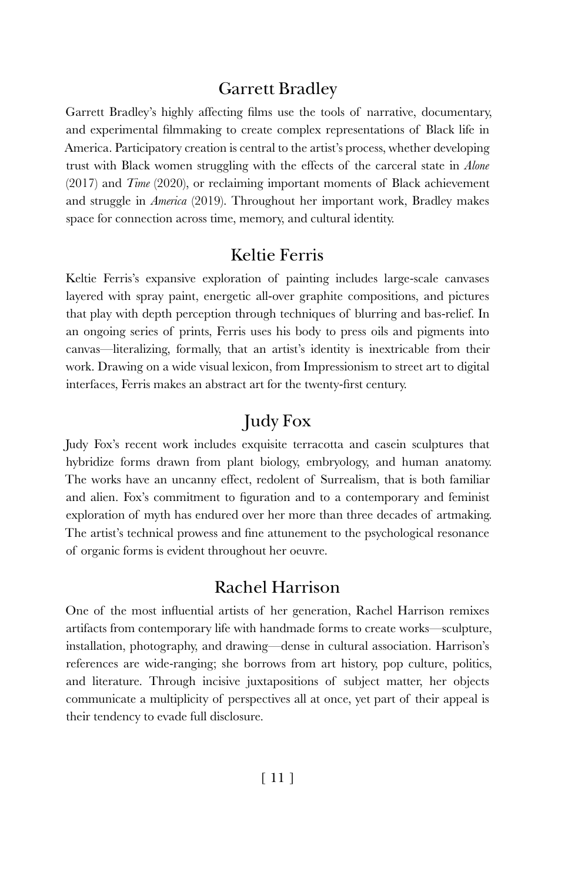#### Garrett Bradley

Garrett Bradley's highly affecting films use the tools of narrative, documentary, and experimental filmmaking to create complex representations of Black life in America. Participatory creation is central to the artist's process, whether developing trust with Black women struggling with the effects of the carceral state in *Alone*  (2017) and *Time* (2020), or reclaiming important moments of Black achievement and struggle in *America* (2019). Throughout her important work, Bradley makes space for connection across time, memory, and cultural identity.

#### Keltie Ferris

Keltie Ferris's expansive exploration of painting includes large-scale canvases layered with spray paint, energetic all-over graphite compositions, and pictures that play with depth perception through techniques of blurring and bas-relief. In an ongoing series of prints, Ferris uses his body to press oils and pigments into canvas—literalizing, formally, that an artist's identity is inextricable from their work. Drawing on a wide visual lexicon, from Impressionism to street art to digital interfaces, Ferris makes an abstract art for the twenty-first century.

### Judy Fox

Judy Fox's recent work includes exquisite terracotta and casein sculptures that hybridize forms drawn from plant biology, embryology, and human anatomy. The works have an uncanny effect, redolent of Surrealism, that is both familiar and alien. Fox's commitment to figuration and to a contemporary and feminist exploration of myth has endured over her more than three decades of artmaking. The artist's technical prowess and fine attunement to the psychological resonance of organic forms is evident throughout her oeuvre.

#### Rachel Harrison

One of the most influential artists of her generation, Rachel Harrison remixes artifacts from contemporary life with handmade forms to create works—sculpture, installation, photography, and drawing—dense in cultural association. Harrison's references are wide-ranging; she borrows from art history, pop culture, politics, and literature. Through incisive juxtapositions of subject matter, her objects communicate a multiplicity of perspectives all at once, yet part of their appeal is their tendency to evade full disclosure.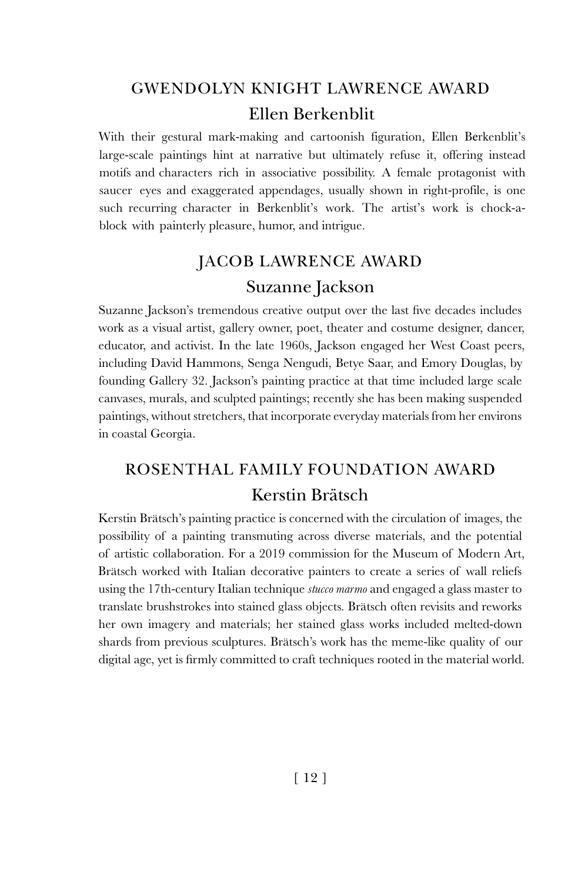### GWENDOLYN KNIGHT LAWRENCE AWARD Ellen Berkenblit

With their gestural mark-making and cartoonish figuration, Ellen Berkenblit's large-scale paintings hint at narrative but ultimately refuse it, offering instead motifs and characters rich in associative possibility. A female protagonist with saucer eyes and exaggerated appendages, usually shown in right-profile, is one such recurring character in Berkenblit's work. The artist's work is chock-ablock with painterly pleasure, humor, and intrigue.

### JACOB LAWRENCE AWARD Suzanne Jackson

Suzanne Jackson's tremendous creative output over the last five decades includes work as a visual artist, gallery owner, poet, theater and costume designer, dancer, educator, and activist. In the late 1960s, Jackson engaged her West Coast peers, including David Hammons, Senga Nengudi, Betye Saar, and Emory Douglas, by founding Gallery 32. Jackson's painting practice at that time included large scale canvases, murals, and sculpted paintings; recently she has been making suspended paintings, without stretchers, that incorporate everyday materials from her environs in coastal Georgia.

# ROSENTHAL FAMILY FOUNDATION AWARD Kerstin Brätsch

Kerstin Brätsch's painting practice is concerned with the circulation of images, the possibility of a painting transmuting across diverse materials, and the potential of artistic collaboration. For a 2019 commission for the Museum of Modern Art, Brätsch worked with Italian decorative painters to create a series of wall reliefs using the 17th-century Italian technique *stucco marmo* and engaged a glass master to translate brushstrokes into stained glass objects. Brätsch often revisits and reworks her own imagery and materials; her stained glass works included melted-down shards from previous sculptures. Brätsch's work has the meme-like quality of our digital age, yet is firmly committed to craft techniques rooted in the material world.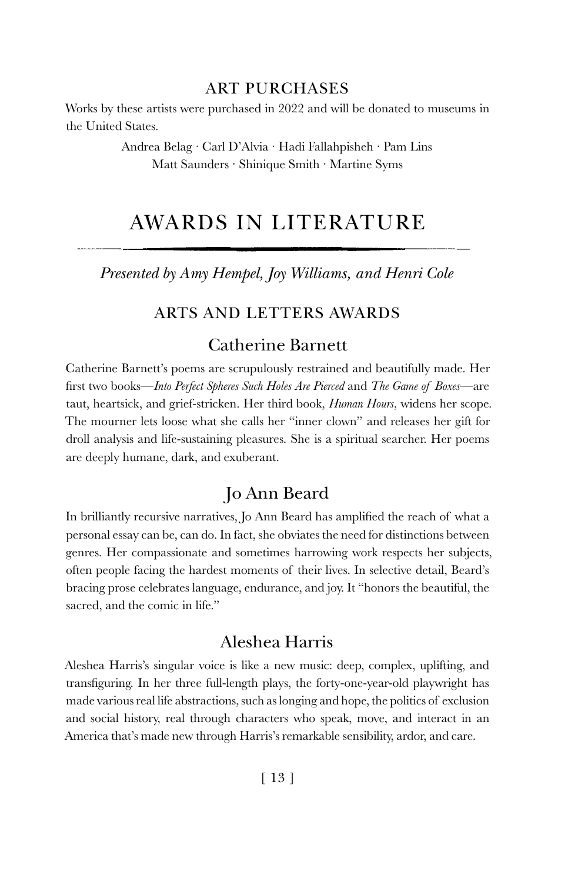#### ART PURCHASES

Works by these artists were purchased in 2022 and will be donated to museums in the United States.

> Andrea Belag · Carl D'Alvia · Hadi Fallahpisheh · Pam Lins Matt Saunders · Shinique Smith · Martine Syms

# Awards in Literature

*Presented by Amy Hempel, Joy Williams, and Henri Cole*

#### ARTS AND LETTERS AWARDS

#### Catherine Barnett

Catherine Barnett's poems are scrupulously restrained and beautifully made. Her first two books—*Into Perfect Spheres Such Holes Are Pierced* and *The Game of Boxes*—are taut, heartsick, and grief-stricken. Her third book, *Human Hours*, widens her scope. The mourner lets loose what she calls her "inner clown" and releases her gift for droll analysis and life-sustaining pleasures. She is a spiritual searcher. Her poems are deeply humane, dark, and exuberant.

### Jo Ann Beard

In brilliantly recursive narratives, Jo Ann Beard has amplified the reach of what a personal essay can be, can do. In fact, she obviates the need for distinctions between genres. Her compassionate and sometimes harrowing work respects her subjects, often people facing the hardest moments of their lives. In selective detail, Beard's bracing prose celebrates language, endurance, and joy. It "honors the beautiful, the sacred, and the comic in life."

#### Aleshea Harris

Aleshea Harris's singular voice is like a new music: deep, complex, uplifting, and transfiguring. In her three full-length plays, the forty-one-year-old playwright has made various real life abstractions, such as longing and hope, the politics of exclusion and social history, real through characters who speak, move, and interact in an America that's made new through Harris's remarkable sensibility, ardor, and care.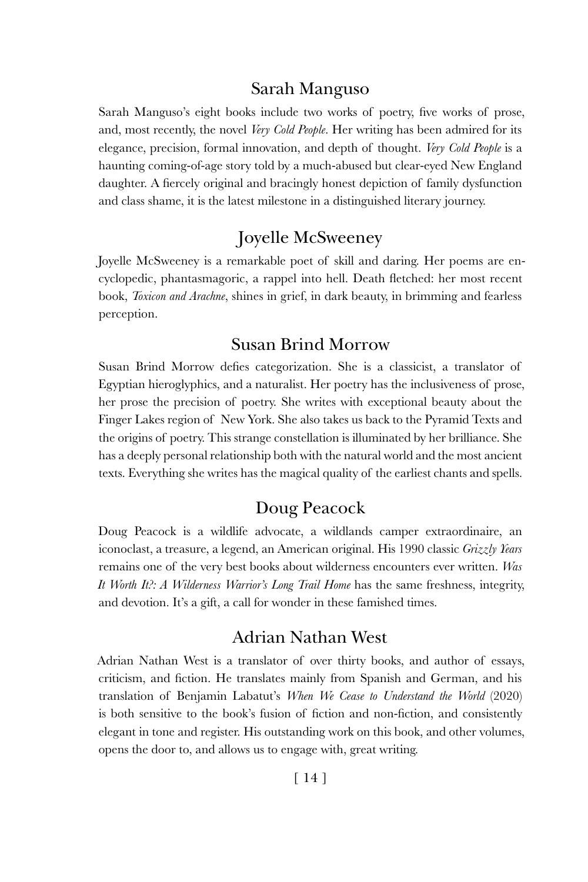#### Sarah Manguso

Sarah Manguso's eight books include two works of poetry, five works of prose, and, most recently, the novel *Very Cold People*. Her writing has been admired for its elegance, precision, formal innovation, and depth of thought. *Very Cold People* is a haunting coming-of-age story told by a much-abused but clear-eyed New England daughter. A fiercely original and bracingly honest depiction of family dysfunction and class shame, it is the latest milestone in a distinguished literary journey.

### Joyelle McSweeney

Joyelle McSweeney is a remarkable poet of skill and daring. Her poems are encyclopedic, phantasmagoric, a rappel into hell. Death fletched: her most recent book, *Toxicon and Arachne*, shines in grief, in dark beauty, in brimming and fearless perception.

#### Susan Brind Morrow

Susan Brind Morrow defies categorization. She is a classicist, a translator of Egyptian hieroglyphics, and a naturalist. Her poetry has the inclusiveness of prose, her prose the precision of poetry. She writes with exceptional beauty about the Finger Lakes region of New York. She also takes us back to the Pyramid Texts and the origins of poetry. This strange constellation is illuminated by her brilliance. She has a deeply personal relationship both with the natural world and the most ancient texts. Everything she writes has the magical quality of the earliest chants and spells.

### Doug Peacock

Doug Peacock is a wildlife advocate, a wildlands camper extraordinaire, an iconoclast, a treasure, a legend, an American original. His 1990 classic *Grizzly Years*  remains one of the very best books about wilderness encounters ever written. *Was It Worth It?: A Wilderness Warrior's Long Trail Home* has the same freshness, integrity, and devotion. It's a gift, a call for wonder in these famished times.

#### Adrian Nathan West

Adrian Nathan West is a translator of over thirty books, and author of essays, criticism, and fiction. He translates mainly from Spanish and German, and his translation of Benjamin Labatut's *When We Cease to Understand the World* (2020) is both sensitive to the book's fusion of fiction and non-fiction, and consistently elegant in tone and register. His outstanding work on this book, and other volumes, opens the door to, and allows us to engage with, great writing.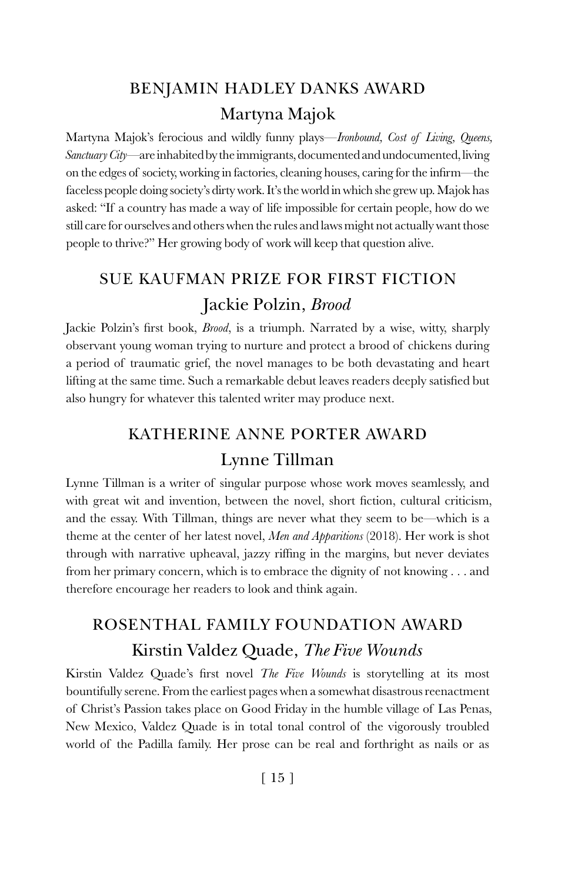### BENJAMIN HADLEY DANKS AWARD Martyna Majok

Martyna Majok's ferocious and wildly funny plays—*Ironbound, Cost of Living, Queens, Sanctuary City—*are inhabited by the immigrants, documented and undocumented, living on the edges of society, working in factories, cleaning houses, caring for the infirm—the faceless people doing society's dirty work*.* It's the world in which she grew up. Majok has asked: "If a country has made a way of life impossible for certain people, how do we still care for ourselves and others when the rules and laws might not actually want those people to thrive?" Her growing body of work will keep that question alive.

### SUE KAUFMAN PRIZE FOR FIRST FICTION Jackie Polzin, *Brood*

Jackie Polzin's first book, *Brood*, is a triumph. Narrated by a wise, witty, sharply observant young woman trying to nurture and protect a brood of chickens during a period of traumatic grief, the novel manages to be both devastating and heart lifting at the same time. Such a remarkable debut leaves readers deeply satisfied but also hungry for whatever this talented writer may produce next.

# KATHERINE ANNE PORTER AWARD Lynne Tillman

Lynne Tillman is a writer of singular purpose whose work moves seamlessly, and with great wit and invention, between the novel, short fiction, cultural criticism, and the essay. With Tillman, things are never what they seem to be—which is a theme at the center of her latest novel, *Men and Apparitions* (2018). Her work is shot through with narrative upheaval, jazzy riffing in the margins, but never deviates from her primary concern, which is to embrace the dignity of not knowing . . . and therefore encourage her readers to look and think again.

## ROSENTHAL FAMILY FOUNDATION AWARD Kirstin Valdez Quade, *The Five Wounds*

Kirstin Valdez Quade's first novel *The Five Wounds* is storytelling at its most bountifully serene. From the earliest pages when a somewhat disastrous reenactment of Christ's Passion takes place on Good Friday in the humble village of Las Penas, New Mexico, Valdez Quade is in total tonal control of the vigorously troubled world of the Padilla family. Her prose can be real and forthright as nails or as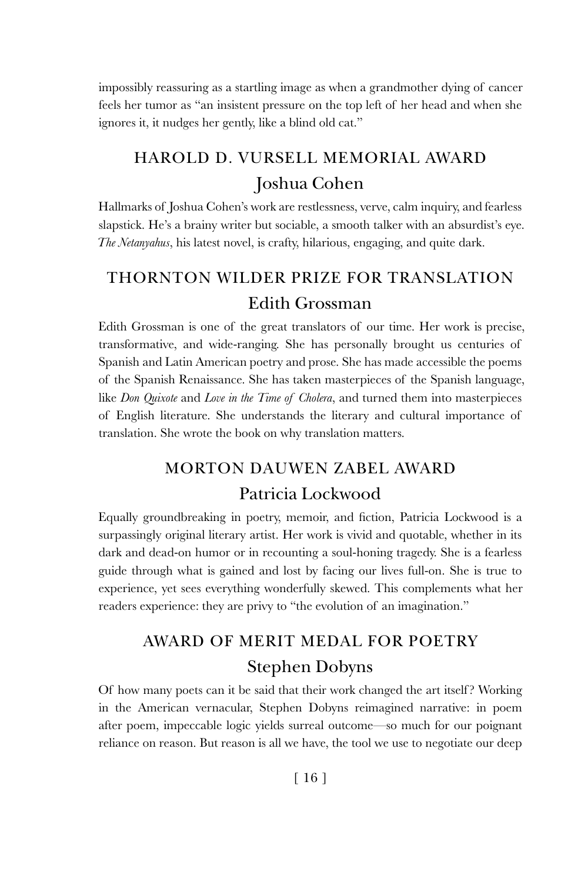impossibly reassuring as a startling image as when a grandmother dying of cancer feels her tumor as "an insistent pressure on the top left of her head and when she ignores it, it nudges her gently, like a blind old cat."

### HAROLD D. VURSELL MEMORIAL AWARD Joshua Cohen

Hallmarks of Joshua Cohen's work are restlessness, verve, calm inquiry, and fearless slapstick. He's a brainy writer but sociable, a smooth talker with an absurdist's eye. *The Netanyahus*, his latest novel, is crafty, hilarious, engaging, and quite dark.

# THORNTON WILDER PRIZE FOR TRANSLATION Edith Grossman

Edith Grossman is one of the great translators of our time. Her work is precise, transformative, and wide-ranging. She has personally brought us centuries of Spanish and Latin American poetry and prose. She has made accessible the poems of the Spanish Renaissance. She has taken masterpieces of the Spanish language, like *Don Quixote* and *Love in the Time of Cholera*, and turned them into masterpieces of English literature. She understands the literary and cultural importance of translation. She wrote the book on why translation matters.

# MORTON DAUWEN ZABEL AWARD Patricia Lockwood

Equally groundbreaking in poetry, memoir, and fiction, Patricia Lockwood is a surpassingly original literary artist. Her work is vivid and quotable, whether in its dark and dead-on humor or in recounting a soul-honing tragedy. She is a fearless guide through what is gained and lost by facing our lives full-on. She is true to experience, yet sees everything wonderfully skewed. This complements what her readers experience: they are privy to "the evolution of an imagination."

# AWARD OF MERIT MEDAL FOR POETRY Stephen Dobyns

Of how many poets can it be said that their work changed the art itself ? Working in the American vernacular, Stephen Dobyns reimagined narrative: in poem after poem, impeccable logic yields surreal outcome—so much for our poignant reliance on reason. But reason is all we have, the tool we use to negotiate our deep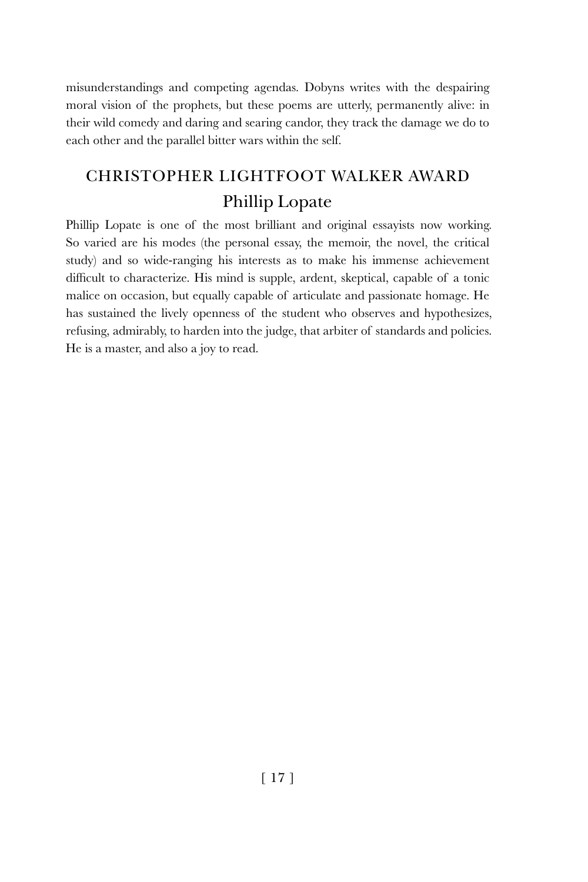misunderstandings and competing agendas. Dobyns writes with the despairing moral vision of the prophets, but these poems are utterly, permanently alive: in their wild comedy and daring and searing candor, they track the damage we do to each other and the parallel bitter wars within the self.

# CHRISTOPHER LIGHTFOOT WALKER AWARD Phillip Lopate

Phillip Lopate is one of the most brilliant and original essayists now working. So varied are his modes (the personal essay, the memoir, the novel, the critical study) and so wide-ranging his interests as to make his immense achievement difficult to characterize. His mind is supple, ardent, skeptical, capable of a tonic malice on occasion, but equally capable of articulate and passionate homage. He has sustained the lively openness of the student who observes and hypothesizes, refusing, admirably, to harden into the judge, that arbiter of standards and policies. He is a master, and also a joy to read.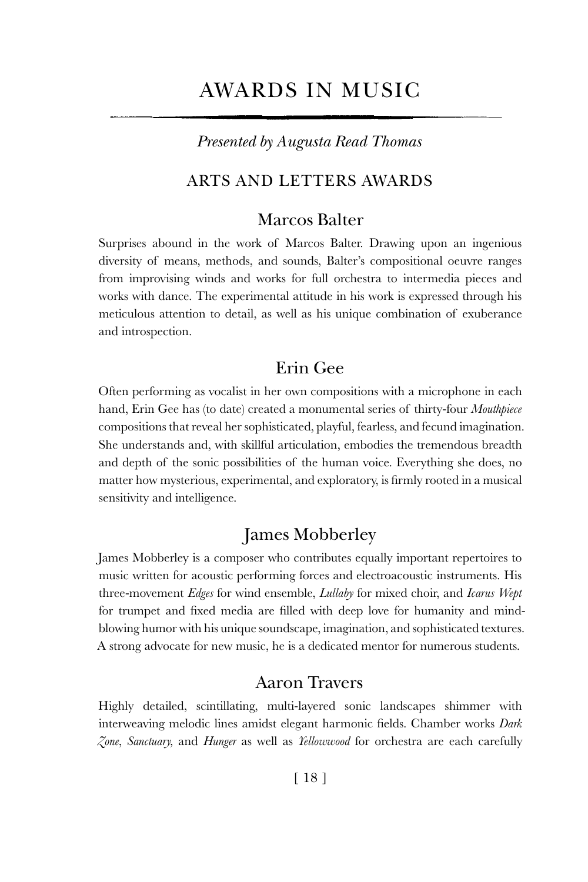### Awards in music

*Presented by Augusta Read Thomas*

#### ARTS AND LETTERS AWARDS

#### Marcos Balter

Surprises abound in the work of Marcos Balter. Drawing upon an ingenious diversity of means, methods, and sounds, Balter's compositional oeuvre ranges from improvising winds and works for full orchestra to intermedia pieces and works with dance. The experimental attitude in his work is expressed through his meticulous attention to detail, as well as his unique combination of exuberance and introspection.

#### Erin Gee

Often performing as vocalist in her own compositions with a microphone in each hand, Erin Gee has (to date) created a monumental series of thirty-four *Mouthpiece*  compositions that reveal her sophisticated, playful, fearless, and fecund imagination. She understands and, with skillful articulation, embodies the tremendous breadth and depth of the sonic possibilities of the human voice. Everything she does, no matter how mysterious, experimental, and exploratory, is firmly rooted in a musical sensitivity and intelligence.

### James Mobberley

James Mobberley is a composer who contributes equally important repertoires to music written for acoustic performing forces and electroacoustic instruments. His three-movement *Edges* for wind ensemble, *Lullaby* for mixed choir, and *Icarus Wept* for trumpet and fixed media are filled with deep love for humanity and mindblowing humor with his unique soundscape, imagination, and sophisticated textures. A strong advocate for new music, he is a dedicated mentor for numerous students.

#### Aaron Travers

Highly detailed, scintillating, multi-layered sonic landscapes shimmer with interweaving melodic lines amidst elegant harmonic fields. Chamber works *Dark Zone*, *Sanctuary,* and *Hunger* as well as *Yellowwood* for orchestra are each carefully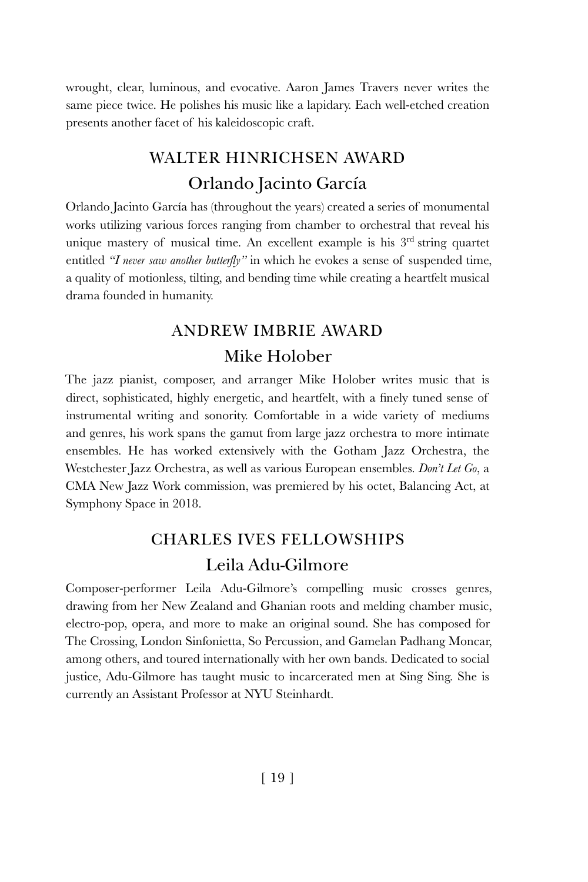wrought, clear, luminous, and evocative. Aaron James Travers never writes the same piece twice. He polishes his music like a lapidary. Each well-etched creation presents another facet of his kaleidoscopic craft.

# WALTER HINRICHSEN AWARD Orlando Jacinto García

Orlando Jacinto García has (throughout the years) created a series of monumental works utilizing various forces ranging from chamber to orchestral that reveal his unique mastery of musical time. An excellent example is his  $3<sup>rd</sup>$  string quartet entitled *"I never saw another butterfly"* in which he evokes a sense of suspended time, a quality of motionless, tilting, and bending time while creating a heartfelt musical drama founded in humanity.

### ANDREW IMBRIE AWARD Mike Holober

The jazz pianist, composer, and arranger Mike Holober writes music that is direct, sophisticated, highly energetic, and heartfelt, with a finely tuned sense of instrumental writing and sonority. Comfortable in a wide variety of mediums and genres, his work spans the gamut from large jazz orchestra to more intimate ensembles. He has worked extensively with the Gotham Jazz Orchestra, the Westchester Jazz Orchestra, as well as various European ensembles. *Don't Let Go*, a CMA New Jazz Work commission, was premiered by his octet, Balancing Act, at Symphony Space in 2018.

### CHARLES IVES FELLOWSHIPS Leila Adu-Gilmore

Composer-performer Leila Adu-Gilmore's compelling music crosses genres, drawing from her New Zealand and Ghanian roots and melding chamber music, electro-pop, opera, and more to make an original sound. She has composed for The Crossing, London Sinfonietta, So Percussion, and Gamelan Padhang Moncar, among others, and toured internationally with her own bands. Dedicated to social justice, Adu-Gilmore has taught music to incarcerated men at Sing Sing. She is currently an Assistant Professor at NYU Steinhardt.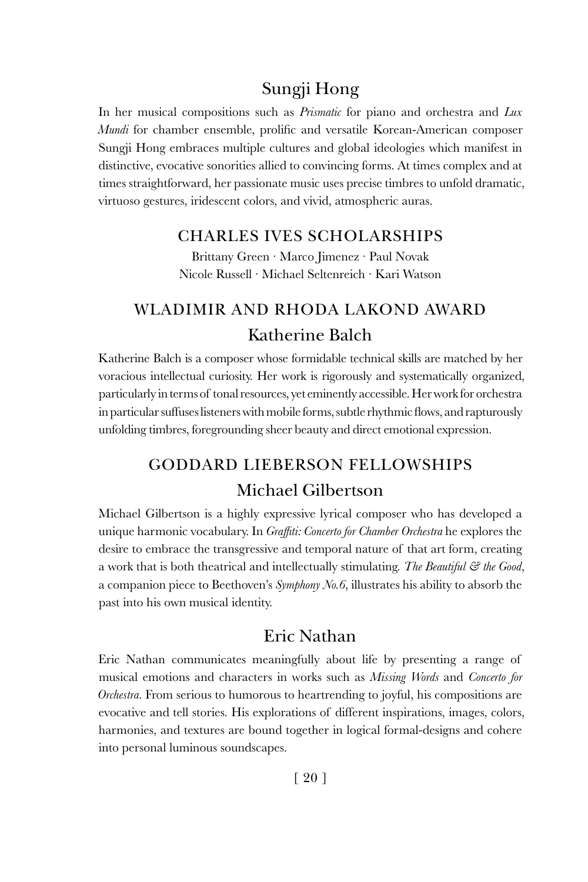### Sungji Hong

In her musical compositions such as *Prismatic* for piano and orchestra and *Lux Mundi* for chamber ensemble, prolific and versatile Korean-American composer Sungji Hong embraces multiple cultures and global ideologies which manifest in distinctive, evocative sonorities allied to convincing forms. At times complex and at times straightforward, her passionate music uses precise timbres to unfold dramatic, virtuoso gestures, iridescent colors, and vivid, atmospheric auras.

#### CHARLES IVES SCHOLARSHIPS

Brittany Green · Marco Jimenez · Paul Novak Nicole Russell · Michael Seltenreich · Kari Watson

### WLADIMIR AND RHODA LAKOND AWARD Katherine Balch

Katherine Balch is a composer whose formidable technical skills are matched by her voracious intellectual curiosity. Her work is rigorously and systematically organized, particularly in terms of tonal resources, yet eminently accessible. Her work for orchestra in particular suffuses listeners with mobile forms, subtle rhythmic flows, and rapturously unfolding timbres, foregrounding sheer beauty and direct emotional expression.

### GODDARD LIEBERSON FELLOWSHIPS Michael Gilbertson

Michael Gilbertson is a highly expressive lyrical composer who has developed a unique harmonic vocabulary. In *Graffiti: Concerto for Chamber Orchestra* he explores the desire to embrace the transgressive and temporal nature of that art form, creating a work that is both theatrical and intellectually stimulating. *The Beautiful & the Good*, a companion piece to Beethoven's *Symphony No.6*, illustrates his ability to absorb the past into his own musical identity.

#### Eric Nathan

Eric Nathan communicates meaningfully about life by presenting a range of musical emotions and characters in works such as *Missing Words* and *Concerto for Orchestra.* From serious to humorous to heartrending to joyful, his compositions are evocative and tell stories. His explorations of different inspirations, images, colors, harmonies, and textures are bound together in logical formal-designs and cohere into personal luminous soundscapes.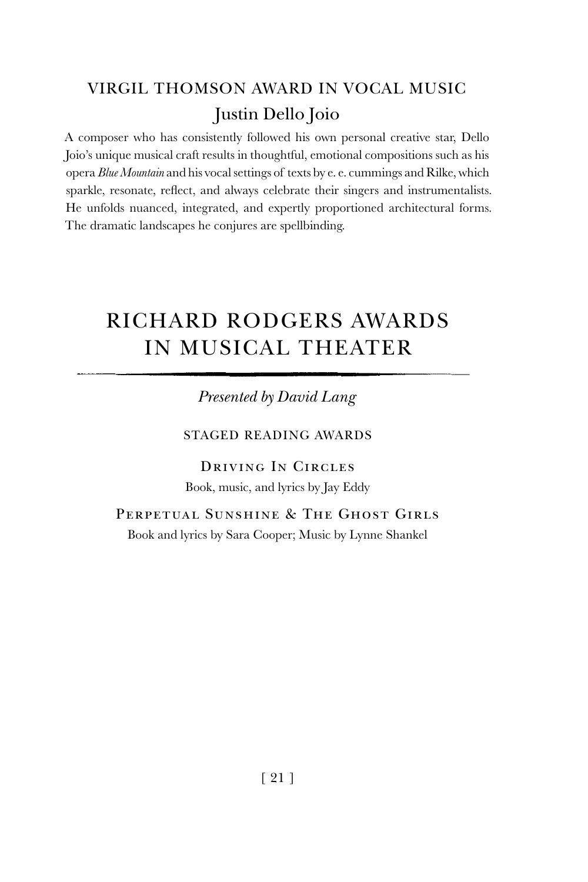# VIRGIL THOMSON AWARD IN VOCAL MUSIC Justin Dello Joio

A composer who has consistently followed his own personal creative star, Dello Joio's unique musical craft results in thoughtful, emotional compositions such as his opera *Blue Mountain* and his vocal settings of texts by e. e. cummings and Rilke, which sparkle, resonate, reflect, and always celebrate their singers and instrumentalists. He unfolds nuanced, integrated, and expertly proportioned architectural forms. The dramatic landscapes he conjures are spellbinding.

# RICHARD RODGERS AWARDS IN MUSICAL THEATER

*Presented by David Lang*

STAGED READING AWARDS

Driving In Circles Book, music, and lyrics by Jay Eddy

Perpetual Sunshine & The Ghost Girls Book and lyrics by Sara Cooper; Music by Lynne Shankel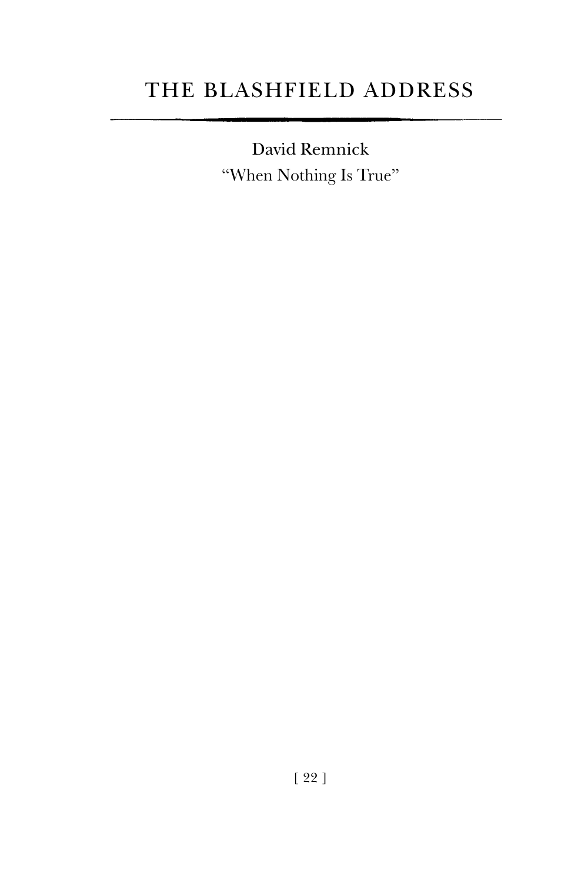# The Blashfield Address

David Remnick "When Nothing Is True"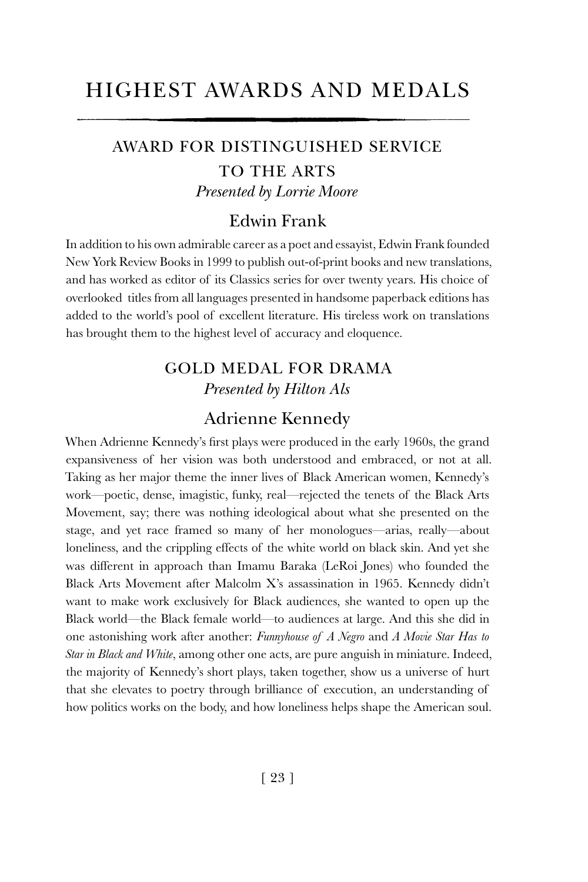## HIGHEST AWARDS AND MEDALS

### AWARD FOR DISTINGUISHED SERVICE TO THE ARTS *Presented by Lorrie Moore*

#### Edwin Frank

In addition to his own admirable career as a poet and essayist, Edwin Frank founded New York Review Books in 1999 to publish out-of-print books and new translations, and has worked as editor of its Classics series for over twenty years. His choice of overlooked titles from all languages presented in handsome paperback editions has added to the world's pool of excellent literature. His tireless work on translations has brought them to the highest level of accuracy and eloquence.

### GOLD MEDAL FOR DRAMA *Presented by Hilton Als*

### Adrienne Kennedy

When Adrienne Kennedy's first plays were produced in the early 1960s, the grand expansiveness of her vision was both understood and embraced, or not at all. Taking as her major theme the inner lives of Black American women, Kennedy's work—poetic, dense, imagistic, funky, real—rejected the tenets of the Black Arts Movement, say; there was nothing ideological about what she presented on the stage, and yet race framed so many of her monologues—arias, really—about loneliness, and the crippling effects of the white world on black skin. And yet she was different in approach than Imamu Baraka (LeRoi Jones) who founded the Black Arts Movement after Malcolm X's assassination in 1965. Kennedy didn't want to make work exclusively for Black audiences, she wanted to open up the Black world—the Black female world—to audiences at large. And this she did in one astonishing work after another: *Funnyhouse of A Negro* and *A Movie Star Has to Star in Black and White*, among other one acts, are pure anguish in miniature. Indeed, the majority of Kennedy's short plays, taken together, show us a universe of hurt that she elevates to poetry through brilliance of execution, an understanding of how politics works on the body, and how loneliness helps shape the American soul.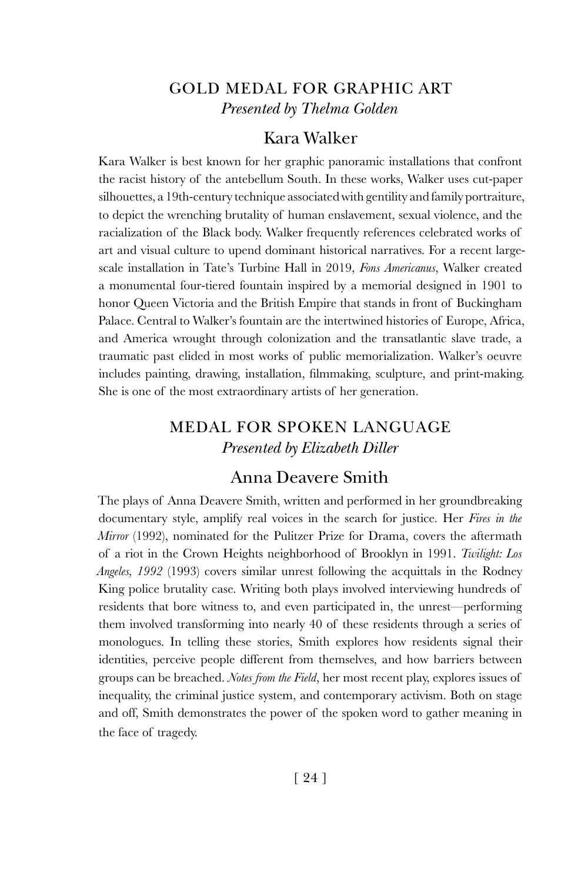### GOLD MEDAL FOR GRAPHIC ART *Presented by Thelma Golden*

#### Kara Walker

Kara Walker is best known for her graphic panoramic installations that confront the racist history of the antebellum South. In these works, Walker uses cut-paper silhouettes, a 19th-century technique associated with gentility and family portraiture, to depict the wrenching brutality of human enslavement, sexual violence, and the racialization of the Black body. Walker frequently references celebrated works of art and visual culture to upend dominant historical narratives. For a recent largescale installation in Tate's Turbine Hall in 2019, *Fons Americanus*, Walker created a monumental four-tiered fountain inspired by a memorial designed in 1901 to honor Queen Victoria and the British Empire that stands in front of Buckingham Palace. Central to Walker's fountain are the intertwined histories of Europe, Africa, and America wrought through colonization and the transatlantic slave trade, a traumatic past elided in most works of public memorialization. Walker's oeuvre includes painting, drawing, installation, filmmaking, sculpture, and print-making. She is one of the most extraordinary artists of her generation.

### MEDAL FOR SPOKEN LANGUAGE *Presented by Elizabeth Diller*

#### Anna Deavere Smith

The plays of Anna Deavere Smith, written and performed in her groundbreaking documentary style, amplify real voices in the search for justice. Her *Fires in the Mirror* (1992), nominated for the Pulitzer Prize for Drama, covers the aftermath of a riot in the Crown Heights neighborhood of Brooklyn in 1991. *Twilight: Los Angeles, 1992* (1993) covers similar unrest following the acquittals in the Rodney King police brutality case. Writing both plays involved interviewing hundreds of residents that bore witness to, and even participated in, the unrest—performing them involved transforming into nearly 40 of these residents through a series of monologues. In telling these stories, Smith explores how residents signal their identities, perceive people different from themselves, and how barriers between groups can be breached. *Notes from the Field*, her most recent play, explores issues of inequality, the criminal justice system, and contemporary activism. Both on stage and off, Smith demonstrates the power of the spoken word to gather meaning in the face of tragedy.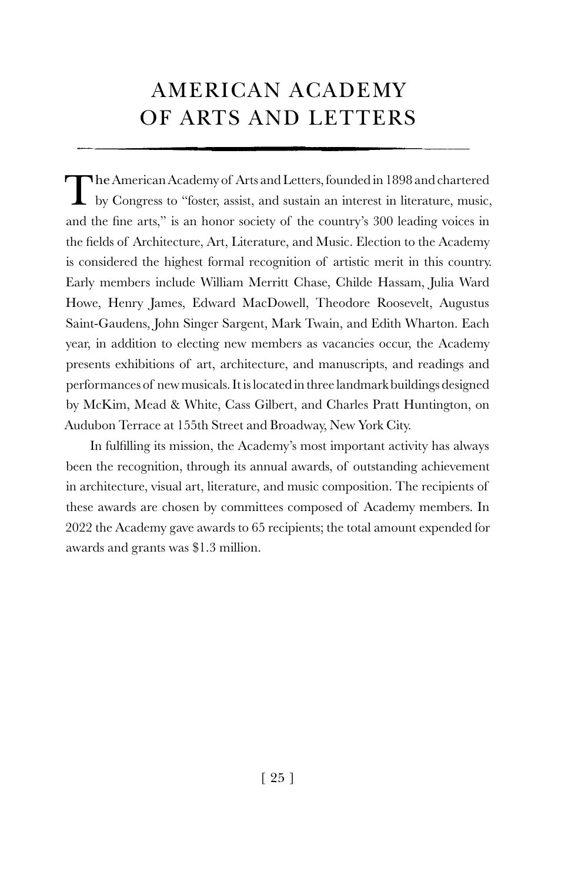# American Academy of Arts and Letters

The American Academy of Arts and Letters, founded in 1898 and chartered<br>by Congress to "foster, assist, and sustain an interest in literature, music, and the fine arts," is an honor society of the country's 300 leading voices in the fields of Architecture, Art, Literature, and Music. Election to the Academy is considered the highest formal recognition of artistic merit in this country. Early members include William Merritt Chase, Childe Hassam, Julia Ward Howe, Henry James, Edward MacDowell, Theodore Roosevelt, Augustus Saint-Gaudens, John Singer Sargent, Mark Twain, and Edith Wharton. Each year, in addition to electing new members as vacancies occur, the Academy presents exhibitions of art, architecture, and manuscripts, and readings and performances of new musicals. It is located in three landmark buildings designed by McKim, Mead & White, Cass Gilbert, and Charles Pratt Huntington, on Audubon Terrace at 155th Street and Broadway, New York City.

In fulfilling its mission, the Academy's most important activity has always been the recognition, through its annual awards, of outstanding achievement in architecture, visual art, literature, and music composition. The recipients of these awards are chosen by committees composed of Academy members. In 2022 the Academy gave awards to 65 recipients; the total amount expended for awards and grants was \$1.3 million.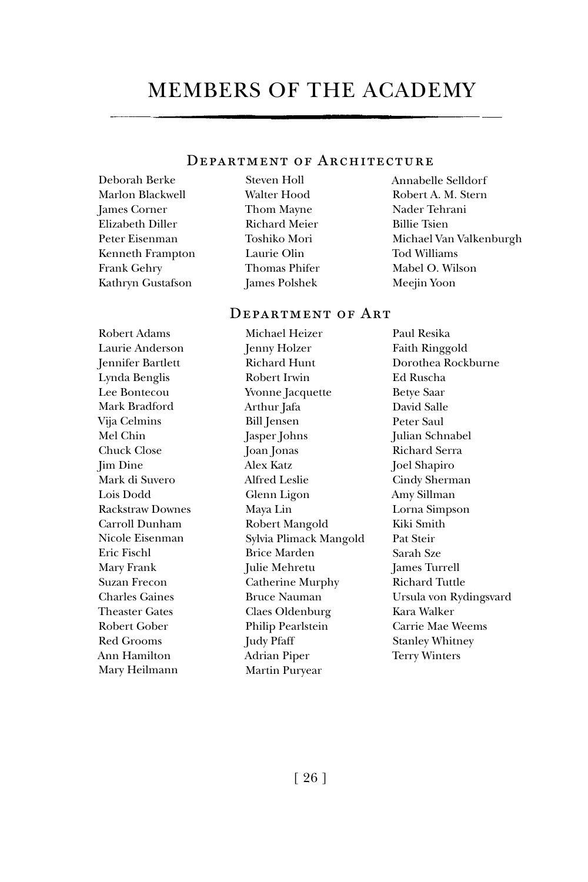### members of the academy

#### Department of Architecture

Deborah Berke Marlon Blackwell James Corner Elizabeth Diller Peter Eisenman Kenneth Frampton Frank Gehry Kathryn Gustafson

Steven Holl Walter Hood Thom Mayne Richard Meier Toshiko Mori Laurie Olin Thomas Phifer James Polshek

Michael Heizer

#### Robert A. M. Stern Nader Tehrani Billie Tsien Michael Van Valkenburgh Tod Williams Mabel O. Wilson Meejin Yoon

Annabelle Selldorf

#### DEPARTMENT OF ART

Robert Adams Laurie Anderson Jennifer Bartlett Lynda Benglis Lee Bontecou Mark Bradford Vija Celmins Mel Chin Chuck Close Jim Dine Mark di Suvero Lois Dodd Rackstraw Downes Carroll Dunham Nicole Eisenman Eric Fischl Mary Frank Suzan Frecon Charles Gaines Theaster Gates Robert Gober Red Grooms Ann Hamilton Mary Heilmann

Jenny Holzer Richard Hunt Robert Irwin Yvonne Jacquette Arthur Jafa Bill Jensen Jasper Johns Joan Jonas Alex Katz Alfred Leslie Glenn Ligon Maya Lin Robert Mangold Sylvia Plimack Mangold Brice Marden Julie Mehretu Catherine Murphy Bruce Nauman Claes Oldenburg Philip Pearlstein Judy Pfaff Adrian Piper Martin Puryear

Paul Resika Faith Ringgold Dorothea Rockburne Ed Ruscha Betye Saar David Salle Peter Saul Julian Schnabel Richard Serra Joel Shapiro Cindy Sherman Amy Sillman Lorna Simpson Kiki Smith Pat Steir Sarah Sze James Turrell Richard Tuttle Ursula von Rydingsvard Kara Walker Carrie Mae Weems Stanley Whitney Terry Winters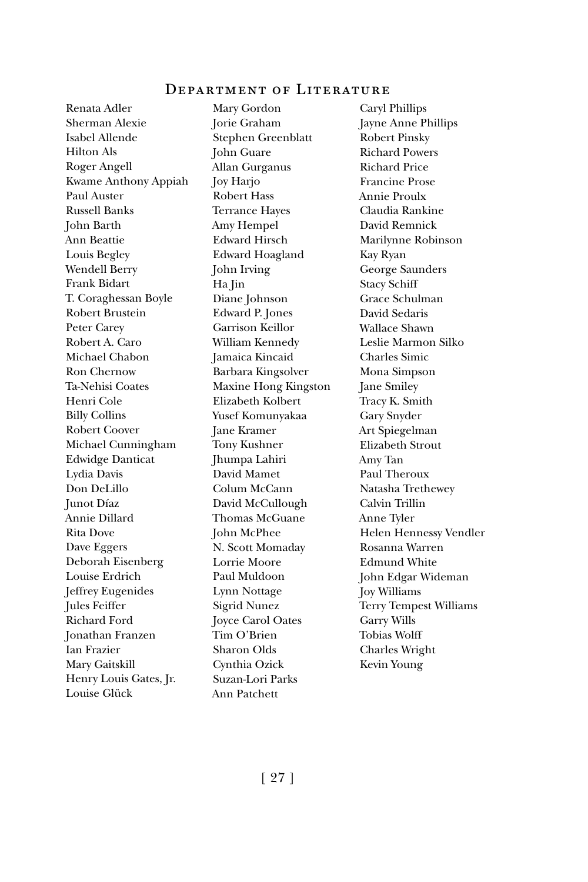#### Department of Literature

Renata Adler Sherman Alexie Isabel Allende Hilton Als Roger Angell Kwame Anthony Appiah Paul Auster Russell Banks John Barth Ann Beattie Louis Begley Wendell Berry Frank Bidart T. Coraghessan Boyle Robert Brustein Peter Carey Robert A. Caro Michael Chabon Ron Chernow Ta-Nehisi Coates Henri Cole Billy Collins Robert Coover Michael Cunningham Edwidge Danticat Lydia Davis Don DeLillo Junot Díaz Annie Dillard Rita Dove Dave Eggers Deborah Eisenberg Louise Erdrich Jeffrey Eugenides Jules Feiffer Richard Ford Jonathan Franzen Ian Frazier Mary Gaitskill Henry Louis Gates, Jr. Louise Glück

Mary Gordon Jorie Graham Stephen Greenblatt John Guare Allan Gurganus Joy Harjo Robert Hass Terrance Hayes Amy Hempel Edward Hirsch Edward Hoagland John Irving Ha Jin Diane Johnson Edward P. Jones Garrison Keillor William Kennedy Jamaica Kincaid Barbara Kingsolver Maxine Hong Kingston Elizabeth Kolbert Yusef Komunyakaa Jane Kramer Tony Kushner Jhumpa Lahiri David Mamet Colum McCann David McCullough Thomas McGuane John McPhee N. Scott Momaday Lorrie Moore Paul Muldoon Lynn Nottage Sigrid Nunez Joyce Carol Oates Tim O'Brien Sharon Olds Cynthia Ozick Suzan-Lori Parks Ann Patchett

Caryl Phillips Jayne Anne Phillips Robert Pinsky Richard Powers Richard Price Francine Prose Annie Proulx Claudia Rankine David Remnick Marilynne Robinson Kay Ryan George Saunders Stacy Schiff Grace Schulman David Sedaris Wallace Shawn Leslie Marmon Silko Charles Simic Mona Simpson Jane Smiley Tracy K. Smith Gary Snyder Art Spiegelman Elizabeth Strout Amy Tan Paul Theroux Natasha Trethewey Calvin Trillin Anne Tyler Helen Hennessy Vendler Rosanna Warren Edmund White John Edgar Wideman Joy Williams Terry Tempest Williams Garry Wills Tobias Wolff Charles Wright Kevin Young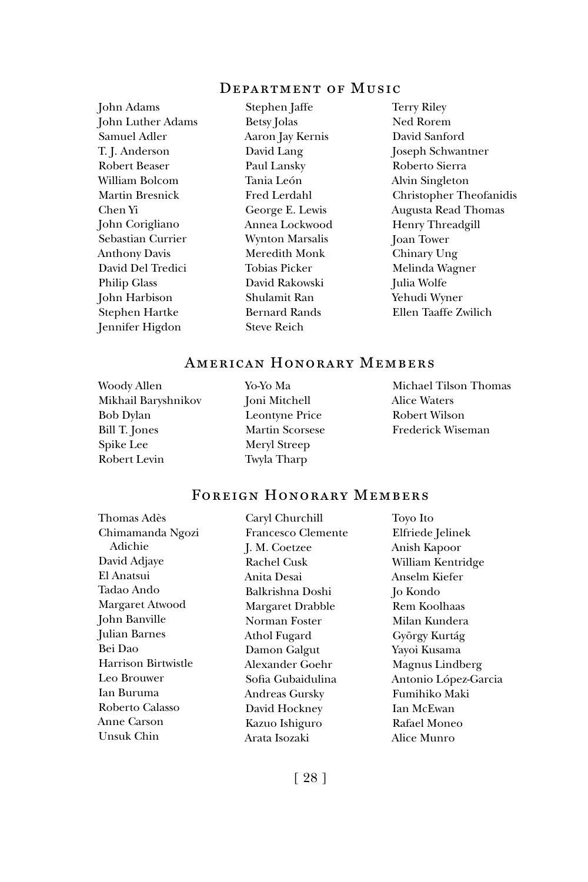#### Department of Music

John Adams John Luther Adams Samuel Adler T. J. Anderson Robert Beaser William Bolcom Martin Bresnick Chen Yi John Corigliano Sebastian Currier Anthony Davis David Del Tredici Philip Glass John Harbison Stephen Hartke Jennifer Higdon

Stephen Jaffe Betsy Jolas Aaron Jay Kernis David Lang Paul Lansky Tania León Fred Lerdahl George E. Lewis Annea Lockwood Wynton Marsalis Meredith Monk Tobias Picker David Rakowski Shulamit Ran Bernard Rands Steve Reich

Terry Riley Ned Rorem David Sanford Joseph Schwantner Roberto Sierra Alvin Singleton Christopher Theofanidis Augusta Read Thomas Henry Threadgill Joan Tower Chinary Ung Melinda Wagner Julia Wolfe Yehudi Wyner Ellen Taaffe Zwilich

#### American Honorary Members

Woody Allen Mikhail Baryshnikov Bob Dylan Bill T. Jones Spike Lee Robert Levin

Yo-Yo Ma Joni Mitchell Leontyne Price Martin Scorsese Meryl Streep Twyla Tharp

Michael Tilson Thomas Alice Waters Robert Wilson Frederick Wiseman

#### Foreign Honorary Members

| Thomas Adès         | Caryl Churchill    | Toyo Ito             |
|---------------------|--------------------|----------------------|
| Chimamanda Ngozi    | Francesco Clemente | Elfriede Jelinek     |
| Adichie             | J. M. Coetzee      | Anish Kapoor         |
| David Adjaye        | Rachel Cusk        | William Kentridge    |
| El Anatsui          | Anita Desai        | Anselm Kiefer        |
| Tadao Ando          | Balkrishna Doshi   | Jo Kondo             |
| Margaret Atwood     | Margaret Drabble   | Rem Koolhaas         |
| John Banville       | Norman Foster      | Milan Kundera        |
| Julian Barnes       | Athol Fugard       | György Kurtág        |
| Bei Dao             | Damon Galgut       | Yayoi Kusama         |
| Harrison Birtwistle | Alexander Goehr    | Magnus Lindberg      |
| Leo Brouwer         | Sofia Gubaidulina  | Antonio López-Garcia |
| Ian Buruma          | Andreas Gursky     | Fumihiko Maki        |
| Roberto Calasso     | David Hockney      | Ian McEwan           |
| Anne Carson         | Kazuo Ishiguro     | Rafael Moneo         |
| Unsuk Chin          | Arata Isozaki      | Alice Munro          |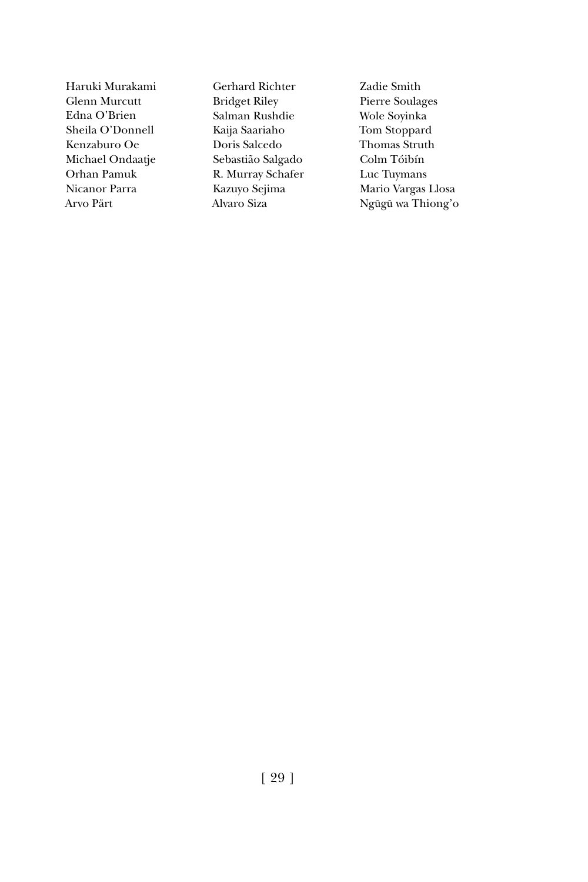Haruki Murakami Glenn Murcutt Edna O'Brien Sheila O'Donnell Kenzaburo Oe Michael Ondaatje Orhan Pamuk Nicanor Parra Arvo Pärt

Gerhard Richter Bridget Riley Salman Rushdie Kaija Saariaho Doris Salcedo Sebastião Salgado R. Murray Schafer Kazuyo Sejima Alvaro Siza

Zadie Smith Pierre Soulages Wole Soyinka Tom Stoppard Thomas Struth Colm Tóibín Luc Tuymans Mario Vargas Llosa Ngūgū wa Thiong'o